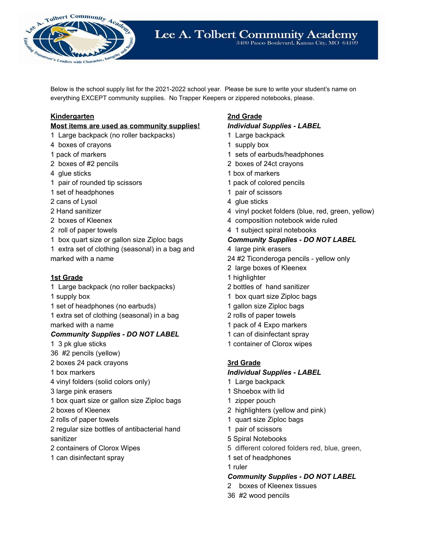

Below is the school supply list for the 2021-2022 school year. Please be sure to write your student's name on everything EXCEPT community supplies. No Trapper Keepers or zippered notebooks, please.

# **Kindergarten**

#### **Most items are used as community supplies!**

- Large backpack (no roller backpacks)
- boxes of crayons
- pack of markers
- boxes of #2 pencils
- glue sticks
- pair of rounded tip scissors
- set of headphones
- cans of Lysol
- Hand sanitizer
- boxes of Kleenex
- roll of paper towels
- box quart size or gallon size Ziploc bags
- extra set of clothing (seasonal) in a bag and marked with a name

## **1st Grade**

- Large backpack (no roller backpacks)
- supply box
- set of headphones (no earbuds)
- extra set of clothing (seasonal) in a bag marked with a name

## *Community Supplies - DO NOT LABEL*

- 3 pk glue sticks
- #2 pencils (yellow)
- boxes 24 pack crayons
- box markers
- vinyl folders (solid colors only)
- large pink erasers
- box quart size or gallon size Ziploc bags
- boxes of Kleenex
- rolls of paper towels
- regular size bottles of antibacterial hand sanitizer
- containers of Clorox Wipes
- can disinfectant spray

# **2nd Grade**

#### *Individual Supplies - LABEL*

- Large backpack
- supply box
- sets of earbuds/headphones
- boxes of 24ct crayons
- box of markers
- pack of colored pencils
- pair of scissors
- 4 glue sticks
- vinyl pocket folders (blue, red, green, yellow)
- composition notebook wide ruled
- 1 subject spiral notebooks

## *Community Supplies - DO NOT LABEL*

- large pink erasers
- #2 Ticonderoga pencils yellow only
- large boxes of Kleenex
- highlighter
- bottles of hand sanitizer
- box quart size Ziploc bags
- gallon size Ziploc bags
- rolls of paper towels
- pack of 4 Expo markers
- can of disinfectant spray
- container of Clorox wipes

## **3rd Grade**

## *Individual Supplies - LABEL*

- Large backpack
- Shoebox with lid
- zipper pouch
- highlighters (yellow and pink)
- quart size Ziploc bags
- pair of scissors
- Spiral Notebooks
- different colored folders red, blue, green,
- set of headphones
- ruler

## *Community Supplies - DO NOT LABEL*

- boxes of Kleenex tissues
- #2 wood pencils